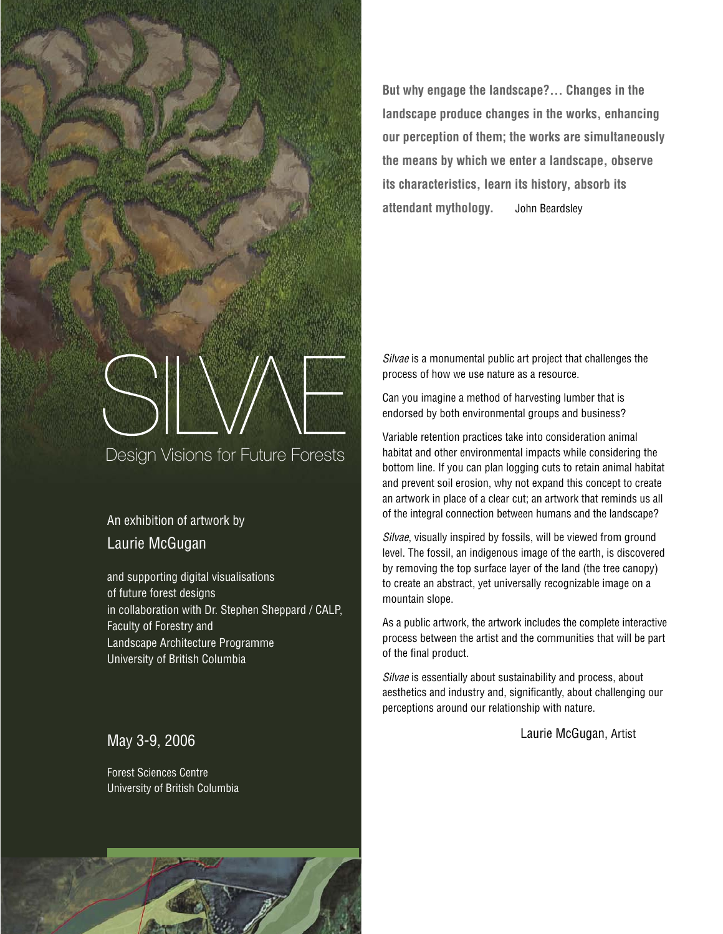

**But why engage the landscape?... Changes in the landscape produce changes in the works, enhancing our perception of them; the works are simultaneously the means by which we enter a landscape, observe its characteristics, learn its history, absorb its attendant mythology.** John Beardsley

## Silvae is a monumental public art project that challenges the process of how we use nature as a resource.

Can you imagine a method of harvesting lumber that is endorsed by both environmental groups and business?

Variable retention practices take into consideration animal habitat and other environmental impacts while considering the bottom line. If you can plan logging cuts to retain animal habitat and prevent soil erosion, why not expand this concept to create an artwork in place of a clear cut; an artwork that reminds us all of the integral connection between humans and the landscape?

Silvae, visually inspired by fossils, will be viewed from ground level. The fossil, an indigenous image of the earth, is discovered by removing the top surface layer of the land (the tree canopy) to create an abstract, yet universally recognizable image on a mountain slope.

As a public artwork, the artwork includes the complete interactive process between the artist and the communities that will be part of the final product.

Silvae is essentially about sustainability and process, about aesthetics and industry and, significantly, about challenging our perceptions around our relationship with nature.

Laurie McGugan, Artist

# An exhibition of artwork by Laurie McGugan

and supporting digital visualisations of future forest designs in collaboration with Dr. Stephen Sheppard / CALP, Faculty of Forestry and Landscape Architecture Programme University of British Columbia

# May 3-9, 2006

Forest Sciences Centre University of British Columbia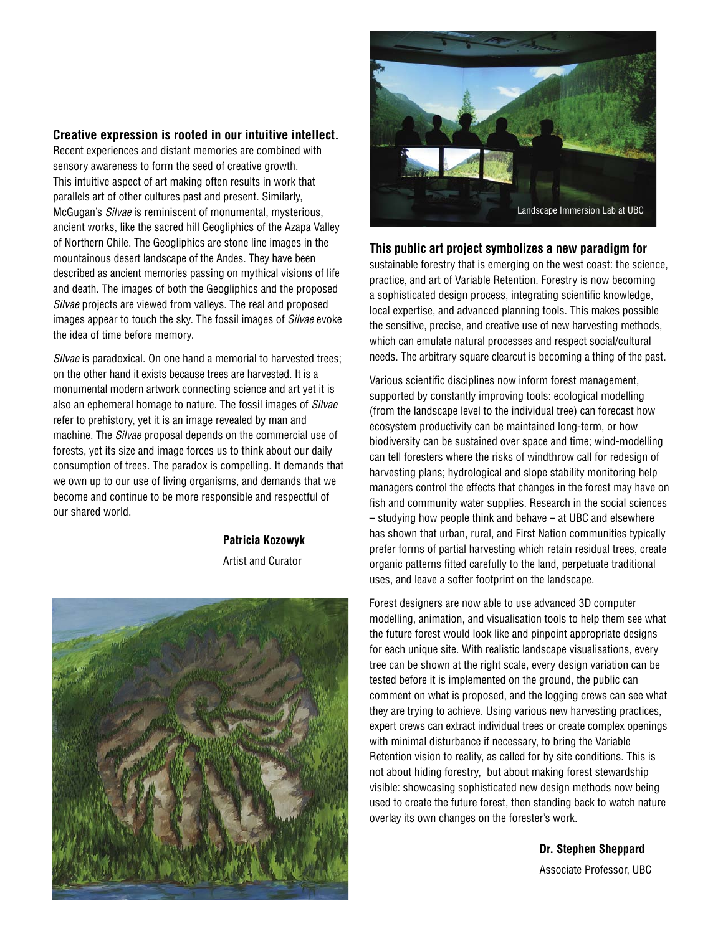## **Creative expression is rooted in our intuitive intellect.**

Recent experiences and distant memories are combined with sensory awareness to form the seed of creative growth. This intuitive aspect of art making often results in work that parallels art of other cultures past and present. Similarly, McGugan's Silvae is reminiscent of monumental, mysterious, ancient works, like the sacred hill Geogliphics of the Azapa Valley of Northern Chile. The Geogliphics are stone line images in the mountainous desert landscape of the Andes. They have been described as ancient memories passing on mythical visions of life and death. The images of both the Geogliphics and the proposed Silvae projects are viewed from valleys. The real and proposed images appear to touch the sky. The fossil images of Silvae evoke the idea of time before memory.

Silvae is paradoxical. On one hand a memorial to harvested trees: on the other hand it exists because trees are harvested. It is a monumental modern artwork connecting science and art yet it is also an ephemeral homage to nature. The fossil images of *Silvae* refer to prehistory, yet it is an image revealed by man and machine. The *Silvae* proposal depends on the commercial use of forests, yet its size and image forces us to think about our daily consumption of trees. The paradox is compelling. It demands that we own up to our use of living organisms, and demands that we become and continue to be more responsible and respectful of our shared world.

**Patricia Kozowyk**

Artist and Curator





## **This public art project symbolizes a new paradigm for**

sustainable forestry that is emerging on the west coast: the science, practice, and art of Variable Retention. Forestry is now becoming a sophisticated design process, integrating scientific knowledge, local expertise, and advanced planning tools. This makes possible the sensitive, precise, and creative use of new harvesting methods, which can emulate natural processes and respect social/cultural needs. The arbitrary square clearcut is becoming a thing of the past.

Various scientific disciplines now inform forest management, supported by constantly improving tools: ecological modelling (from the landscape level to the individual tree) can forecast how ecosystem productivity can be maintained long-term, or how biodiversity can be sustained over space and time; wind-modelling can tell foresters where the risks of windthrow call for redesign of harvesting plans; hydrological and slope stability monitoring help managers control the effects that changes in the forest may have on fish and community water supplies. Research in the social sciences – studying how people think and behave – at UBC and elsewhere has shown that urban, rural, and First Nation communities typically prefer forms of partial harvesting which retain residual trees, create organic patterns fitted carefully to the land, perpetuate traditional uses, and leave a softer footprint on the landscape.

Forest designers are now able to use advanced 3D computer modelling, animation, and visualisation tools to help them see what the future forest would look like and pinpoint appropriate designs for each unique site. With realistic landscape visualisations, every tree can be shown at the right scale, every design variation can be tested before it is implemented on the ground, the public can comment on what is proposed, and the logging crews can see what they are trying to achieve. Using various new harvesting practices, expert crews can extract individual trees or create complex openings with minimal disturbance if necessary, to bring the Variable Retention vision to reality, as called for by site conditions. This is not about hiding forestry, but about making forest stewardship visible: showcasing sophisticated new design methods now being used to create the future forest, then standing back to watch nature overlay its own changes on the forester's work.

> **Dr. Stephen Sheppard** Associate Professor, UBC